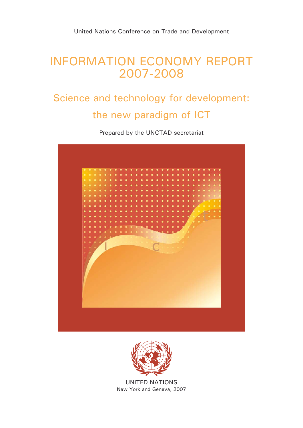# INFORMATION ECONOMY REPORT 2007-2008

# Science and technology for development: the new paradigm of ICT

Prepared by the UNCTAD secretariat





UNITED NATIONS New York and Geneva, 2007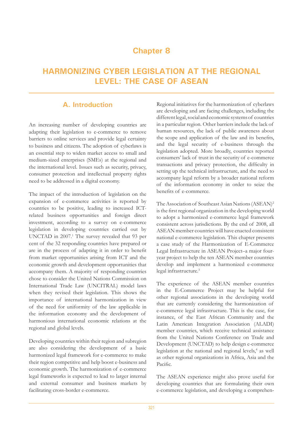# **Chapter 8**

# **HARMONIZING CYBER LEGISLATION AT THE REGIONAL LEVEL: THE CASE OF ASEAN**

# **A. Introduction**

An increasing number of developing countries are adapting their legislation to e-commerce to remove barriers to online services and provide legal certainty to business and citizens. The adoption of cyberlaws is an essential step to widen market access to small and medium-sized enterprises (SMEs) at the regional and the international level. Issues such as security, privacy, consumer protection and intellectual property rights need to be addressed in a digital economy.

The impact of the introduction of legislation on the expansion of e-commerce activities is reported by countries to be positive, leading to increased ICTrelated business opportunities and foreign direct investment, according to a survey on e-commerce legislation in developing countries carried out by UNCTAD in 2007.<sup>1</sup> The survey revealed that 93 per cent of the 32 responding countries have prepared or are in the process of adapting it in order to benefit from market opportunities arising from ICT and the economic growth and development opportunities that accompany them. A majority of responding countries chose to consider the United Nations Commission on International Trade Law (UNCITRAL) model laws when they revised their legislation. This shows the importance of international harmonization in view of the need for uniformity of the law applicable in the information economy and the development of harmonious international economic relations at the regional and global levels.

Developing countries within their region and subregion are also considering the development of a basic harmonized legal framework for e-commerce to make their region competitive and help boost e-business and economic growth. The harmonization of e-commerce legal frameworks is expected to lead to larger internal and external consumer and business markets by facilitating cross-border e-commerce.

Regional initiatives for the harmonization of cyberlaws are developing and are facing challenges, including the different legal, social and economic systems of countries in a particular region. Other barriers include the lack of human resources, the lack of public awareness about the scope and application of the law and its benefits, and the legal security of e-business through the legislation adopted. More broadly, countries reported consumers' lack of trust in the security of e-commerce transactions and privacy protection, the difficulty in setting up the technical infrastructure, and the need to accompany legal reform by a broader national reform of the information economy in order to seize the benefits of e-commerce.

The Association of Southeast Asian Nations (ASEAN)<sup>2</sup> is the first regional organization in the developing world to adopt a harmonized e-commerce legal framework consistent across jurisdictions. By the end of 2008, all ASEAN member countries will have enacted consistent national e-commerce legislation. This chapter presents a case study of the Harmonization of E-Commerce Legal Infrastructure in ASEAN Project–a major fouryear project to help the ten ASEAN member countries develop and implement a harmonized e-commerce legal infrastructure.<sup>3</sup>

The experience of the ASEAN member countries in the E-Commerce Project may be helpful for other regional associations in the developing world that are currently considering the harmonization of e-commerce legal infrastructure. This is the case, for instance, of the East African Community and the Latin American Integration Association (ALADI) member countries, which receive technical assistance from the United Nations Conference on Trade and Development (UNCTAD) to help design e-commerce legislation at the national and regional levels,<sup>4</sup> as well as other regional organizations in Africa, Asia and the Pacific.

The ASEAN experience might also prove useful for developing countries that are formulating their own e-commerce legislation, and developing a comprehen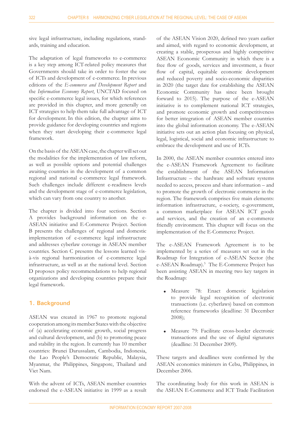sive legal infrastructure, including regulations, standards, training and education.

The adaptation of legal frameworks to e-commerce is a key step among ICT-related policy measures that Governments should take in order to foster the use of ICTs and development of e-commerce. In previous editions of the *E-commerce and Development Report* and the *Information Economy Report*, UNCTAD focused on specific e-commerce legal issues, for which references are provided in this chapter, and more generally on ICT strategies to help them take full advantage of ICT for development. In this edition, the chapter aims to provide guidance for developing countries and regions when they start developing their e-commerce legal framework.

On the basis of the ASEAN case, the chapter will set out the modalities for the implementation of law reform, as well as possible options and potential challenges awaiting countries in the development of a common regional and national e-commerce legal framework. Such challenges include different e-readiness levels and the development stage of e-commerce legislation, which can vary from one country to another.

The chapter is divided into four sections. Section A provides background information on the e-ASEAN initiative and E-Commerce Project. Section B presents the challenges of regional and domestic implementation of e-commerce legal infrastructure and addresses cyberlaw coverage in ASEAN member countries. Section C presents the lessons learned visà-vis regional harmonization of e-commerce legal infrastructure, as well as at the national level. Section D proposes policy recommendations to help regional organizations and developing countries prepare their legal framework.

### **1. Background**

ASEAN was created in 1967 to promote regional cooperation among its member States with the objective of (a) accelerating economic growth, social progress and cultural development, and (b) to promoting peace and stability in the region. It currently has 10 member countries: Brunei Darussalam, Cambodia, Indonesia, the Lao People's Democratic Republic, Malaysia, Myanmar, the Philippines, Singapore, Thailand and Viet Nam.

With the advent of ICTs, ASEAN member countries endorsed the e-ASEAN initiative in 1999 as a result of the ASEAN Vision 2020, defined two years earlier and aimed, with regard to economic development, at creating a stable, prosperous and highly competitive ASEAN Economic Community in which there is a free flow of goods, services and investment, a freer flow of capital, equitable economic development and reduced poverty and socio-economic disparities in 2020 (the target date for establishing the ASEAN Economic Community has since been brought forward to 2015). The purpose of the e-ASEAN initiative is to complement national ICT strategies, and promote economic growth and competitiveness for better integration of ASEAN member countries into the global information economy. The e-ASEAN initiative sets out an action plan focusing on physical, legal, logistical, social and economic infrastructure to embrace the development and use of ICTs.

In 2000, the ASEAN member countries entered into the e-ASEAN Framework Agreement to facilitate the establishment of the ASEAN Information Infrastructure – the hardware and software systems needed to access, process and share information – and to promote the growth of electronic commerce in the region. The framework comprises five main elements: information infrastructure, e-society, e-government, a common marketplace for ASEAN ICT goods and services, and the creation of an e-commerce friendly environment. This chapter will focus on the implementation of the E-Commerce Project.

The e-ASEAN Framework Agreement is to be implemented by a series of measures set out in the Roadmap for Integration of e-ASEAN Sector (the e-ASEAN Roadmap).<sup>5</sup> The E-Commerce Project has been assisting ASEAN in meeting two key targets in the Roadmap:

- Measure 78: Enact domestic legislation to provide legal recognition of electronic transactions (i.e. cyberlaws) based on common reference frameworks (deadline: 31 December 2008);  $\bullet$
- Measure 79: Facilitate cross-border electronic transactions and the use of digital signatures (deadline: 31 December 2009).  $\bullet$

These targets and deadlines were confirmed by the ASEAN economics ministers in Cebu, Philippines, in December 2006.

The coordinating body for this work in ASEAN is the ASEAN E-Commerce and ICT Trade Facilitation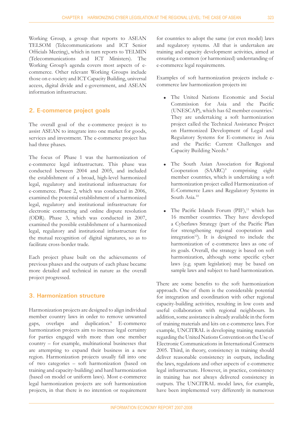Working Group, a group that reports to ASEAN TELSOM (Telecommunications and ICT Senior Officials Meeting), which in turn reports to TELMIN (Telecommunications and ICT Ministers). The Working Group's agenda covers most aspects of ecommerce. Other relevant Working Groups include those on e-society and ICT Capacity Building, universal access, digital divide and e-government, and ASEAN information infrastructure.

#### **2. E-commerce project goals**

The overall goal of the e-commerce project is to assist ASEAN to integrate into one market for goods, services and investment. The e-commerce project has had three phases.

The focus of Phase 1 was the harmonization of e-commerce legal infrastructure. This phase was conducted between 2004 and 2005, and included the establishment of a broad, high-level harmonized legal, regulatory and institutional infrastructure for e-commerce. Phase 2, which was conducted in 2006, examined the potential establishment of a harmonized legal, regulatory and institutional infrastructure for electronic contracting and online dispute resolution (ODR). Phase 3, which was conducted in 2007, examined the possible establishment of a harmonized legal, regulatory and institutional infrastructure for the mutual recognition of digital signatures, so as to facilitate cross-border trade.

Each project phase built on the achievements of previous phases and the outputs of each phase became more detailed and technical in nature as the overall project progressed.

#### **3. Harmonization structure**

Harmonization projects are designed to align individual member country laws in order to remove unwanted gaps, overlaps and duplication.<sup>6</sup> E-commerce harmonization projects aim to increase legal certainty for parties engaged with more than one member country – for example, multinational businesses that are attempting to expand their business in a new region. Harmonization projects usually fall into one of two categories – soft harmonization (based on training and capacity-building) and hard harmonization (based on model or uniform laws). Most e-commerce legal harmonization projects are soft harmonization projects, in that there is no intention or requirement

for countries to adopt the same (or even model) laws and regulatory systems. All that is undertaken are training and capacity development activities, aimed at ensuring a common (or harmonized) understanding of e-commerce legal requirements.

Examples of soft harmonization projects include ecommerce law harmonization projects in**:**

- The United Nations Economic and Social Commission for Asia and the Pacific (UNESCAP), which has 62 member countries.7 They are undertaking a soft harmonization project called the Technical Assistance Project on Harmonized Development of Legal and Regulatory Systems for E-commerce in Asia and the Pacific: Current Challenges and Capacity Building Needs.8  $\bullet$
- The South Asian Association for Regional Cooperation  $(SAARC)^9$  comprising eight member countries, which is undertaking a soft harmonization project called Harmonization of E-Commerce Laws and Regulatory Systems in South Asia.<sup>10</sup>  $\bullet$
- The Pacific Islands Forum (PIF), $11$  which has 16 member countries. They have developed a Cyberlaws Strategy (part of the Pacific Plan for strengthening regional cooperation and integration<sup>12</sup>). It is designed to include the harmonization of e-commerce laws as one of its goals. Overall, the strategy is based on soft harmonization, although some specific cyber laws (e.g. spam legislation) may be based on sample laws and subject to hard harmonization.  $\bullet$

There are some benefits to the soft harmonization approach. One of them is the considerable potential for integration and coordination with other regional capacity-building activities, resulting in low costs and useful collaboration with regional neighbours. In addition, some assistance is already available in the form of training materials and kits on e-commerce laws. For example, UNCITRAL is developing training materials regarding the United Nations Convention on the Use of Electronic Communications in International Contracts 2005. Third, in theory, consistency in training should deliver reasonable consistency in outputs, including the laws, regulations and other aspects of e-commerce legal infrastructure. However, in practice, consistency in training has not always delivered consistency in outputs. The UNCITRAL model laws, for example, have been implemented very differently in numerous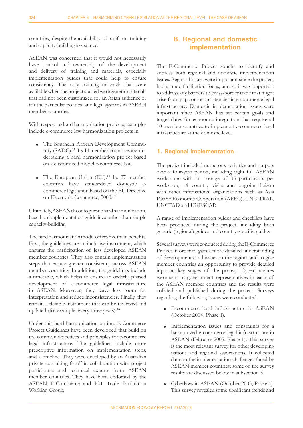countries, despite the availability of uniform training and capacity-building assistance.

ASEAN was concerned that it would not necessarily have control and ownership of the development and delivery of training and materials, especially implementation guides that could help to ensure consistency. The only training materials that were available when the project started were generic materials that had not been customized for an Asian audience or for the particular political and legal systems in ASEAN member countries.

With respect to hard harmonization projects, examples include e-commerce law harmonization projects in:

- The Southern African Development Commu-L nity (SADC).<sup>13</sup> Its 14 member countries are undertaking a hard harmonization project based on a customized model e-commerce law.
- The European Union (EU).<sup>14</sup> Its 27 member countries have standardized domestic ecommerce legislation based on the EU Directive on Electronic Commerce, 2000.15  $\bullet$

Ultimately, ASEAN chose to pursue hard harmonization, based on implementation guidelines rather than simple capacity-building.

The hard harmonization model offers five main benefits. First, the guidelines are an inclusive instrument, which ensures the participation of less developed ASEAN member countries. They also contain implementation steps that ensure greater consistency across ASEAN member countries. In addition, the guidelines include a timetable, which helps to ensure an orderly, phased development of e-commerce legal infrastructure in ASEAN. Moreover, they leave less room for interpretation and reduce inconsistencies. Finally, they remain a flexible instrument that can be reviewed and updated (for example, every three years).<sup>16</sup>

Under this hard harmonization option, E-Commerce Project Guidelines have been developed that build on the common objectives and principles for e-commerce legal infrastructure. The guidelines include more prescriptive information on implementation steps, and a timeline. They were developed by an Australian private consulting firm<sup>17</sup> in collaboration with project participants and technical experts from ASEAN member countries. They have been endorsed by the ASEAN E-Commerce and ICT Trade Facilitation Working Group.

# **B. Regional and domestic implementation**

The E-Commerce Project sought to identify and address both regional and domestic implementation issues. Regional issues were important since the project had a trade facilitation focus, and so it was important to address any barriers to cross-border trade that might arise from gaps or inconsistencies in e-commerce legal infrastructure. Domestic implementation issues were important since ASEAN has set certain goals and target dates for economic integration that require all 10 member countries to implement e-commerce legal infrastructure at the domestic level.

### **1. Regional implementation**

The project included numerous activities and outputs over a four-year period, including eight full ASEAN workshops with an average of 35 participants per workshop, 14 country visits and ongoing liaison with other international organizations such as Asia Pacific Economic Cooperation (APEC), UNCITRAL, UNCTAD and UNESCAP.

A range of implementation guides and checklists have been produced during the project, including both generic (regional) guides and country-specific guides.

Several surveys were conducted during the E-Commerce Project in order to gain a more detailed understanding of developments and issues in the region, and to give member countries an opportunity to provide detailed input at key stages of the project. Questionnaires were sent to government representatives in each of the ASEAN member countries and the results were collated and published during the project. Surveys regarding the following issues were conducted:

- E-commerce legal infrastructure in ASEAN L (October 2004, Phase 1).
- Implementation issues and constraints for a L harmonized e-commerce legal infrastructure in ASEAN (February 2005, Phase 1). This survey is the most relevant survey for other developing nations and regional associations. It collected data on the implementation challenges faced by ASEAN member countries: some of the survey results are discussed below in subsection 3.
- Cyberlaws in ASEAN (October 2005, Phase 1). This survey revealed some significant trends and L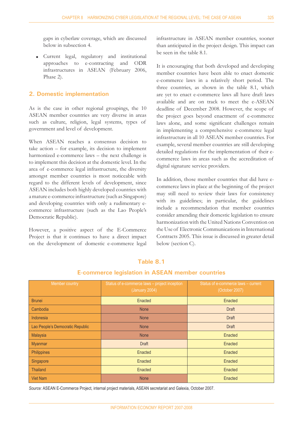gaps in cyberlaw coverage, which are discussed below in subsection 4.

Current legal, regulatory and institutional approaches to e-contracting and ODR infrastructures in ASEAN (February 2006, Phase 2).  $\bullet$ 

#### **2. Domestic implementation**

As is the case in other regional groupings, the 10 ASEAN member countries are very diverse in areas such as culture, religion, legal systems, types of government and level of development.

When ASEAN reaches a consensus decision to take action – for example, its decision to implement harmonized e-commerce laws – the next challenge is to implement this decision at the domestic level. In the area of e-commerce legal infrastructure, the diversity amongst member countries is most noticeable with regard to the different levels of development, since ASEAN includes both highly developed countries with a mature e-commerce infrastructure (such as Singapore) and developing countries with only a rudimentary ecommerce infrastructure (such as the Lao People's Democratic Republic).

However, a positive aspect of the E-Commerce Project is that it continues to have a direct impact on the development of domestic e-commerce legal

infrastructure in ASEAN member countries, sooner than anticipated in the project design. This impact can be seen in the table 8.1.

It is encouraging that both developed and developing member countries have been able to enact domestic e-commerce laws in a relatively short period. The three countries, as shown in the table 8.1, which are yet to enact e-commerce laws all have draft laws available and are on track to meet the e-ASEAN deadline of December 2008. However, the scope of the project goes beyond enactment of e-commerce laws alone, and some significant challenges remain in implementing a comprehensive e-commerce legal infrastructure in all 10 ASEAN member countries. For example, several member countries are still developing detailed regulations for the implementation of their ecommerce laws in areas such as the accreditation of digital signature service providers.

In addition, those member countries that did have ecommerce laws in place at the beginning of the project may still need to review their laws for consistency with its guidelines; in particular, the guidelines include a recommendation that member countries consider amending their domestic legislation to ensure harmonization with the United Nations Convention on the Use of Electronic Communications in International Contracts 2005. This issue is discussed in greater detail below (section C).

| Member country                   | Status of e-commerce laws - project inception<br>(January 2004) | Status of e-commerce laws - current<br>(October 2007) |
|----------------------------------|-----------------------------------------------------------------|-------------------------------------------------------|
| <b>Brunei</b>                    | Enacted                                                         | Enacted                                               |
| Cambodia                         | <b>None</b>                                                     | <b>Draft</b>                                          |
| Indonesia                        | <b>None</b>                                                     | <b>Draft</b>                                          |
| Lao People's Democratic Republic | <b>None</b>                                                     | <b>Draft</b>                                          |
| Malaysia                         | <b>None</b>                                                     | Enacted                                               |
| <b>Myanmar</b>                   | <b>Draft</b>                                                    | Enacted                                               |
| Philippines                      | Enacted                                                         | Enacted                                               |
| Singapore                        | Enacted                                                         | Enacted                                               |
| <b>Thailand</b>                  | Enacted                                                         | Enacted                                               |
| <b>Viet Nam</b>                  | <b>None</b>                                                     | Enacted                                               |

# **Table 8.1 E-commerce legislation in ASEAN member countries**

*Source:* ASEAN E-Commerce Project, internal project materials, ASEAN secretariat and Galexia, October 2007.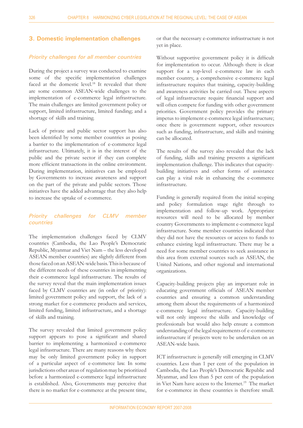#### **3. Domestic implementation challenges**

#### *Priority challenges for all member countries*

During the project a survey was conducted to examine some of the specific implementation challenges faced at the domestic level.<sup>18</sup> It revealed that there are some common ASEAN-wide challenges to the implementation of e-commerce legal infrastructure. The main challenges are limited government policy or support, limited infrastructure, limited funding; and a shortage of skills and training.

Lack of private and public sector support has also been identified by some member countries as posing a barrier to the implementation of e-commerce legal infrastructure. Ultimately, it is in the interest of the public and the private sector if they can complete more efficient transactions in the online environment. During implementation, initiatives can be employed by Governments to increase awareness and support on the part of the private and public sectors. Those initiatives have the added advantage that they also help to increase the uptake of e-commerce.

#### *Priority challenges for CLMV member countries*

The implementation challenges faced by CLMV countries (Cambodia, the Lao People's Democratic Republic, Myanmar and Viet Nam – the less developed ASEAN member countries) are slightly different from those faced on an ASEAN-wide basis. This is because of the different needs of these countries in implementing their e-commerce legal infrastructure. The results of the survey reveal that the main implementation issues faced by CLMV countries are (in order of priority): limited government policy and support, the lack of a strong market for e-commerce products and services, limited funding, limited infrastructure, and a shortage of skills and training.

The survey revealed that limited government policy support appears to pose a significant and shared barrier to implementing a harmonized e-commerce legal infrastructure. There are many reasons why there may be only limited government policy in support of a particular aspect of e-commerce law. In some jurisdictions other areas of regulation may be prioritized before a harmonized e-commerce legal infrastructure is established. Also, Governments may perceive that there is no market for e-commerce at the present time,

or that the necessary e-commerce infrastructure is not yet in place.

Without supportive government policy it is difficult for implementation to occur. Although there is clear support for a top-level e-commerce law in each member country, a comprehensive e-commerce legal infrastructure requires that training, capacity-building and awareness activities be carried out. These aspects of legal infrastructure require financial support and will often compete for funding with other government priorities. Government policy provides the primary impetus to implement e-commerce legal infrastructure; once there is government support, other resources such as funding, infrastructure, and skills and training can be allocated.

The results of the survey also revealed that the lack of funding, skills and training presents a significant implementation challenge. This indicates that capacitybuilding initiatives and other forms of assistance can play a vital role in enhancing the e-commerce infrastructure.

Funding is generally required from the initial scoping and policy formulation stage right through to implementation and follow-up work. Appropriate resources will need to be allocated by member country Governments to implement e-commerce legal infrastructure. Some member countries indicated that they did not have the resources or access to funds to enhance existing legal infrastructure. There may be a need for some member countries to seek assistance in this area from external sources such as ASEAN, the United Nations, and other regional and international organizations.

Capacity-building projects play an important role in educating government officials of ASEAN member countries and ensuring a common understanding among them about the requirements of a harmonized e-commerce legal infrastructure. Capacity-building will not only improve the skills and knowledge of professionals but would also help ensure a common understanding of the legal requirements of e-commerce infrastructure if projects were to be undertaken on an ASEAN-wide basis.

ICT infrastructure is generally still emerging in CLMV countries. Less than 1 per cent of the population in Cambodia, the Lao People's Democratic Republic and Myanmar, and less than 5 per cent of the population in Viet Nam have access to the Internet.<sup>19</sup> The market for e-commerce in these countries is therefore small.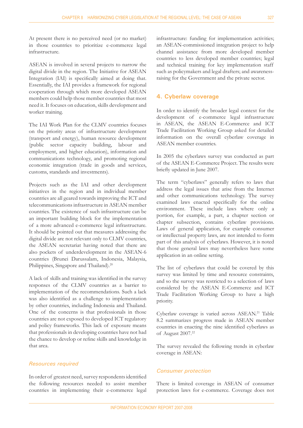At present there is no perceived need (or no market) in those countries to prioritize e-commerce legal infrastructure.

ASEAN is involved in several projects to narrow the digital divide in the region. The Initiative for ASEAN Integration (IAI) is specifically aimed at doing that. Essentially, the IAI provides a framework for regional cooperation through which more developed ASEAN members could help those member countries that most need it. It focuses on education, skills development and worker training.

The IAI Work Plan for the CLMV countries focuses on the priority areas of infrastructure development (transport and energy), human resource development (public sector capacity building, labour and employment, and higher education), information and communications technology, and promoting regional economic integration (trade in goods and services, customs, standards and investments).

Projects such as the IAI and other development initiatives in the region and in individual member countries are all geared towards improving the ICT and telecommunications infrastructure in ASEAN member countries. The existence of such infrastructure can be an important building block for the implementation of a more advanced e-commerce legal infrastructure. It should be pointed out that measures addressing the digital divide are not relevant only to CLMV countries, the ASEAN secretariat having noted that there are also pockets of underdevelopment in the ASEAN-6 countries (Brunei Darussalam, Indonesia, Malaysia, Philippines, Singapore and Thailand).<sup>20</sup>

A lack of skills and training was identified in the survey responses of the CLMV countries as a barrier to implementation of the recommendations. Such a lack was also identified as a challenge to implementation by other countries, including Indonesia and Thailand. One of the concerns is that professionals in those countries are not exposed to developed ICT regulatory and policy frameworks. This lack of exposure means that professionals in developing countries have not had the chance to develop or refine skills and knowledge in that area.

#### *Resources required*

In order of greatest need, survey respondents identified the following resources needed to assist member countries in implementing their e-commerce legal infrastructure: funding for implementation activities; an ASEAN-commissioned integration project to help channel assistance from more developed member countries to less developed member countries; legal and technical training for key implementation staff such as policymakers and legal drafters; and awarenessraising for the Government and the private sector.

#### **4. Cyberlaw coverage**

In order to identify the broader legal context for the development of e-commerce legal infrastructure in ASEAN, the ASEAN E-Commerce and ICT Trade Facilitation Working Group asked for detailed information on the overall cyberlaw coverage in ASEAN member countries.

In 2005 the cyberlaws survey was conducted as part of the ASEAN E-Commerce Project. The results were briefly updated in June 2007.

The term "cyberlaws" generally refers to laws that address the legal issues that arise from the Internet and other communications technology. The survey examined laws enacted specifically for the online environment. These include laws where only a portion, for example, a part, a chapter section or chapter subsection, contains cyberlaw provisions. Laws of general application, for example consumer or intellectual property laws, are not intended to form part of this analysis of cyberlaws. However, it is noted that those general laws may nevertheless have some application in an online setting.

The list of cyberlaws that could be covered by this survey was limited by time and resource constraints, and so the survey was restricted to a selection of laws considered by the ASEAN E-Commerce and ICT Trade Facilitation Working Group to have a high priority.

Cyberlaw coverage is varied across ASEAN.21 Table 8.2 summarizes progress made in ASEAN member countries in enacting the nine identified cyberlaws as of August 2007.<sup>22</sup>

The survey revealed the following trends in cyberlaw coverage in ASEAN:

#### *Consumer protection*

There is limited coverage in ASEAN of consumer protection laws for e-commerce. Coverage does not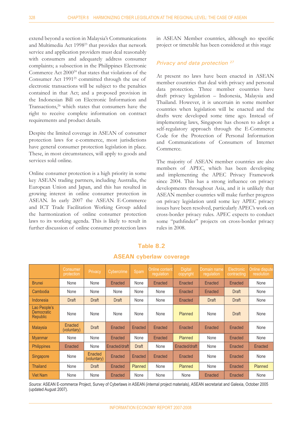extend beyond a section in Malaysia's Communications and Multimedia Act 199823 that provides that network service and application providers must deal reasonably with consumers and adequately address consumer complaints; a subsection in the Philippines Electronic Commerce Act 2000<sup>24</sup> that states that violations of the Consumer Act 1991<sup>25</sup> committed through the use of electronic transactions will be subject to the penalties contained in that Act; and a proposed provision in the Indonesian Bill on Electronic Information and Transactions,<sup>26</sup> which states that consumers have the right to receive complete information on contract requirements and product details.

Despite the limited coverage in ASEAN of consumer protection laws for e-commerce, most jurisdictions have general consumer protection legislation in place. These, in most circumstances, will apply to goods and services sold online.

Online consumer protection is a high priority in some key ASEAN trading partners, including Australia, the European Union and Japan, and this has resulted in growing interest in online consumer protection in ASEAN. In early 2007 the ASEAN E-Commerce and ICT Trade Facilitation Working Group added the harmonization of online consumer protection laws to its working agenda. This is likely to result in further discussion of online consumer protection laws

in ASEAN Member countries, although no specific project or timetable has been considered at this stage

#### *Privacy and data protection 27*

At present no laws have been enacted in ASEAN member countries that deal with privacy and personal data protection. Three member countries have draft privacy legislation – Indonesia, Malaysia and Thailand. However, it is uncertain in some member countries when legislation will be enacted and the drafts were developed some time ago. Instead of implementing laws, Singapore has chosen to adopt a self-regulatory approach through the E-Commerce Code for the Protection of Personal Information and Communications of Consumers of Internet Commerce.

The majority of ASEAN member countries are also members of APEC, which has been developing and implementing the APEC Privacy Framework since 2004. This has a strong influence on privacy developments throughout Asia, and it is unlikely that ASEAN member countries will make further progress on privacy legislation until some key APEC privacy issues have been resolved, particularly APEC's work on cross-border privacy rules. APEC expects to conduct some "pathfinder" projects on cross-border privacy rules in 2008.

|                                                      | Consumer<br>protection | Privacy                | Cybercrime     | Spam           | <b>Online content</b><br>regulation | <b>Digital</b><br>copyright | Domain name<br>regulation | Electronic<br>contracting | <b>Online dispute</b><br>resolution |
|------------------------------------------------------|------------------------|------------------------|----------------|----------------|-------------------------------------|-----------------------------|---------------------------|---------------------------|-------------------------------------|
| <b>Brunei</b>                                        | None                   | None                   | <b>Enacted</b> | None           | <b>Enacted</b>                      | Enacted                     | Enacted                   | Enacted                   | None                                |
| Cambodia                                             | None                   | None                   | None           | None           | None                                | Enacted                     | Enacted                   | Draft                     | None                                |
| Indonesia                                            | <b>Draft</b>           | Draft                  | <b>Draft</b>   | None           | None                                | Enacted                     | <b>Draft</b>              | Draft                     | None                                |
| Lao People's<br><b>Democratic</b><br><b>Republic</b> | None                   | None                   | None           | None           | None                                | <b>Planned</b>              | None                      | None<br>Draft             |                                     |
| <b>Malaysia</b>                                      | Enacted<br>(voluntary) | Draft                  | Enacted        | <b>Enacted</b> | Enacted                             | Enacted                     | Enacted                   | Enacted                   | None                                |
| <b>Myanmar</b>                                       | None                   | None                   | Enacted        | None           | <b>Enacted</b>                      | <b>Planned</b>              | None                      | Enacted                   | None                                |
| <b>Philippines</b>                                   | Enacted                | None                   | Enacted/draft  | <b>Draft</b>   | None                                | Enacted/draft               | None                      | Enacted                   | Enacted                             |
| <b>Singapore</b>                                     | None                   | Enacted<br>(voluntary) | <b>Enacted</b> | Enacted        | <b>Enacted</b>                      | <b>Enacted</b>              | None                      | Enacted                   | None                                |
| <b>Thailand</b>                                      | None                   | Draft                  | Enacted        | Planned        | None                                | Planned                     | None                      | Enacted                   | Planned                             |
| <b>Viet Nam</b>                                      | None                   | None                   | Enacted        | None           | None                                | None                        | Enacted                   | Enacted                   | None                                |

# **Table 8.2 ASEAN cyberlaw coverage**

*Source:* ASEAN E-commerce Project, Survey of Cyberlaws in ASEAN (internal project materials), ASEAN secretariat and Galexia, October 2005 (updated August 2007).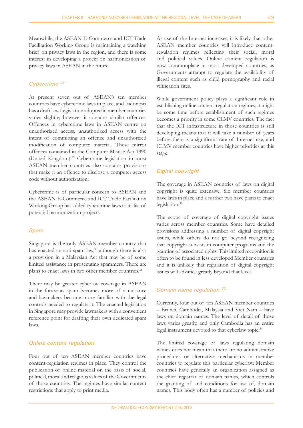Meanwhile, the ASEAN E-Commerce and ICT Trade Facilitation Working Group is maintaining a watching brief on privacy laws in the region, and there is some interest in developing a project on harmonization of privacy laws in ASEAN in the future.

#### *Cybercrime <sup>28</sup>*

At present seven out of ASEAN's ten member countries have cybercrime laws in place, and Indonesia has a draft law. Legislation adopted in member countries varies slightly; however it contains similar offences. Offences in cybercrime laws in ASEAN centre on unauthorized access, unauthorized access with the intent of committing an offence and unauthorized modification of computer material. These mirror offences contained in the Computer Misuse Act 1990 (United Kingdom).29 Cybercrime legislation in most ASEAN member countries also contains provisions that make it an offence to disclose a computer access code without authorization.

Cybercrime is of particular concern to ASEAN and the ASEAN E-Commerce and ICT Trade Facilitation Working Group has added cybercrime laws to its list of potential harmonization projects.

#### *Spam*

Singapore is the only ASEAN member country that has enacted an anti-spam law,<sup>30</sup> although there is also a provision in a Malaysian Act that may be of some limited assistance in prosecuting spammers. There are plans to enact laws in two other member countries.<sup>31</sup>

There may be greater cyberlaw coverage in ASEAN in the future as spam becomes more of a nuisance and lawmakers become more familiar with the legal controls needed to regulate it. The enacted legislation in Singapore may provide lawmakers with a convenient reference point for drafting their own dedicated spam laws.

#### *Online content regulation*

Four out of ten ASEAN member countries have content-regulation regimes in place. They control the publication of online material on the basis of social, political, moral and religious values of the Governments of those countries. The regimes have similar content restrictions that apply to print media.

As use of the Internet increases, it is likely that other ASEAN member countries will introduce contentregulation regimes reflecting their social, moral and political values. Online content regulation is now commonplace in most developed countries, as Governments attempt to regulate the availability of illegal content such as child pornography and racial vilification sites.

While government policy plays a significant role in establishing online content-regulation regimes, it might be some time before establishment of such regimes becomes a priority in some CLMV countries. The fact that the ICT infrastructure in those countries is still developing means that it will take a number of years before there is a significant rate of Internet use, and CLMV member countries have higher priorities at this stage.

#### *Digital copyright*

The coverage in ASEAN countries of laws on digital copyright is quite extensive. Six member countries have laws in place and a further two have plans to enact legislation.<sup>32</sup>

The scope of coverage of digital copyright issues varies across member countries. Some have detailed provisions addressing a number of digital copyright issues, while others do not go beyond recognizing that copyright subsists in computer programs and the granting of associated rights. This limited recognition is often to be found in less developed Member countries and it is unlikely that regulation of digital copyright issues will advance greatly beyond that level.

#### *Domain name regulation 33*

Currently, four out of ten ASEAN member countries – Brunei, Cambodia, Malaysia and Viet Nam – have laws on domain names. The level of detail of those laws varies greatly, and only Cambodia has an entire legal instrument devoted to that cyberlaw topic.<sup>34</sup>

The limited coverage of laws regulating domain names does not mean that there are no administrative procedures or alternative mechanisms in member countries to regulate this particular cyberlaw. Member countries have generally an organization assigned as the chief registrar of domain names, which controls the granting of and conditions for use of, domain names. This body often has a number of policies and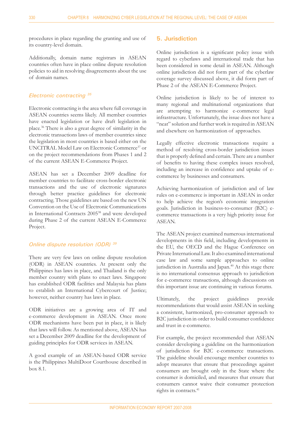procedures in place regarding the granting and use of its country-level domain.

Additionally, domain name registrars in ASEAN countries often have in place online dispute resolution policies to aid in resolving disagreements about the use of domain names.

#### *Electronic contracting 35*

Electronic contracting is the area where full coverage in ASEAN countries seems likely. All member countries have enacted legislation or have draft legislation in place.36 There is also a great degree of similarity in the electronic transactions laws of member countries since the legislation in most countries is based either on the UNCITRAL Model Law on Electronic Commerce37 or on the project recommendations from Phases 1 and 2 of the current ASEAN E-Commerce Project.

ASEAN has set a December 2009 deadline for member countries to facilitate cross-border electronic transactions and the use of electronic signatures through better practice guidelines for electronic contracting. Those guidelines are based on the new UN Convention on the Use of Electronic Communications in International Contracts 2005<sup>38</sup> and were developed during Phase 2 of the current ASEAN E-Commerce Project.

#### *Online dispute resolution (ODR) 39*

There are very few laws on online dispute resolution (ODR) in ASEAN countries. At present only the Philippines has laws in place, and Thailand is the only member country with plans to enact laws. Singapore has established ODR facilities and Malaysia has plans to establish an International Cybercourt of Justice; however, neither country has laws in place.

ODR initiatives are a growing area of IT and e-commerce development in ASEAN. Once more ODR mechanisms have been put in place, it is likely that laws will follow. As mentioned above, ASEAN has set a December 2009 deadline for the development of guiding principles for ODR services in ASEAN.

A good example of an ASEAN-based ODR service is the Philippines MultiDoor Courthouse described in box 8.1.

#### **5. Jurisdiction**

Online jurisdiction is a significant policy issue with regard to cyberlaws and international trade that has been considered in some detail in ASEAN. Although online jurisdiction did not form part of the cyberlaw coverage survey discussed above, it did form part of Phase 2 of the ASEAN E-Commerce Project*.*

Online jurisdiction is likely to be of interest to many regional and multinational organizations that are attempting to harmonize e-commerce legal infrastructure. Unfortunately, the issue does not have a "neat" solution and further work is required in ASEAN and elsewhere on harmonization of approaches.

Legally effective electronic transactions require a method of resolving cross-border jurisdiction issues that is properly defined and certain. There are a number of benefits to having these complex issues resolved, including an increase in confidence and uptake of ecommerce by businesses and consumers.

Achieving harmonization of jurisdiction and of law rules on e-commerce is important in ASEAN in order to help achieve the region's economic integration goals. Jurisdiction in business-to-consumer (B2C) ecommerce transactions is a very high priority issue for ASEAN.

The ASEAN project examined numerous international developments in this field, including developments in the EU, the OECD and the Hague Conference on Private International Law. It also examined international case law and some sample approaches to online jurisdiction in Australia and Japan.<sup>40</sup> At this stage there is no international consensus approach to jurisdiction for e-commerce transactions, although discussions on this important issue are continuing in various forums.

Ultimately, the project guidelines provide recommendations that would assist ASEAN in seeking a consistent, harmonized, pro-consumer approach to B2C jurisdiction in order to build consumer confidence and trust in e-commerce.

For example, the project recommended that ASEAN consider developing a guideline on the harmonization of jurisdiction for B2C e-commerce transactions. The guideline should encourage member countries to adopt measures that ensure that proceedings against consumers are brought only in the State where the consumer is domiciled, and measures that ensure that consumers cannot waive their consumer protection rights in contracts.<sup>41</sup>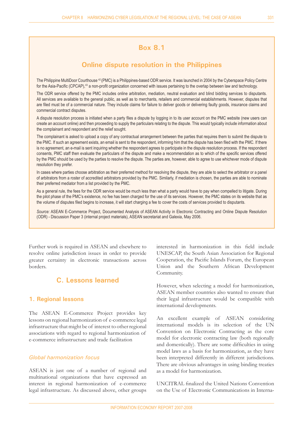# **Box 8.1**

# **Online dispute resolution in the Philippines**

The Philippine MultiDoor Courthouse <sup>42</sup> (PMC) is a Philippines-based ODR service. It was launched in 2004 by the Cyberspace Policy Centre for the Asia-Pacific (CPCAP),<sup>43</sup> a non-profit organization concerned with issues pertaining to the overlap between law and technology.

The ODR service offered by the PMC includes online arbitration, mediation, neutral evaluation and blind bidding services to disputants. All services are available to the general public, as well as to merchants, retailers and commercial establishments. However, disputes that are filed must be of a commercial nature. They include claims for failure to deliver goods or delivering faulty goods, insurance claims and commercial contract disputes.

A dispute resolution process is initiated when a party files a dispute by logging in to its user account on the PMC website (new users can create an account online) and then proceeding to supply the particulars relating to the dispute. This would typically include information about the complainant and respondent and the relief sought.

The complainant is asked to upload a copy of any contractual arrangement between the parties that requires them to submit the dispute to the PMC. If such an agreement exists, an email is sent to the respondent, informing him that the dispute has been filed with the PMC. If there is no agreement, an e-mail is sent inquiring whether the respondent agrees to participate in the dispute resolution process. If the respondent consents, PMC staff then evaluate the particulars of the dispute and make a recommendation as to which of the specific services offered by the PMC should be used by the parties to resolve the dispute. The parties are, however, able to agree to use whichever mode of dispute resolution they prefer.

In cases where parties choose arbitration as their preferred method for resolving the dispute, they are able to select the arbitrator or a panel of arbitrators from a roster of accredited arbitrators provided by the PMC. Similarly, if mediation is chosen, the parties are able to nominate their preferred mediator from a list provided by the PMC.

As a general rule, the fees for the ODR service would be much less than what a party would have to pay when compelled to litigate. During the pilot phase of the PMC's existence, no fee has been charged for the use of its services. However, the PMC states on its website that as the volume of disputes filed begins to increase, it will start charging a fee to cover the costs of services provided to disputants.

*Source:* ASEAN E-Commerce Project, Documented Analysis of ASEAN Activity in Electronic Contracting and Online Dispute Resolution (ODR) - Discussion Paper 3 (internal project materials), ASEAN secretariat and Galexia, May 2006.

Further work is required in ASEAN and elsewhere to resolve online jurisdiction issues in order to provide greater certainty in electronic transactions across borders.

# **C. Lessons learned**

#### **1. Regional lessons**

The ASEAN E-Commerce Project provides key lessons on regional harmonization of e-commerce legal infrastructure that might be of interest to other regional associations with regard to regional harmonization of e-commerce infrastructure and trade facilitation

#### *Global harmonization focus*

ASEAN is just one of a number of regional and multinational organizations that have expressed an interest in regional harmonization of e-commerce legal infrastructure. As discussed above, other groups interested in harmonization in this field include UNESCAP, the South Asian Association for Regional Cooperation, the Pacific Islands Forum, the European Union and the Southern African Development Community.

However, when selecting a model for harmonization, ASEAN member countries also wanted to ensure that their legal infrastructure would be compatible with international developments.

An excellent example of ASEAN considering international models is its selection of the UN Convention on Electronic Contracting as the core model for electronic contracting law (both regionally and domestically). There are some difficulties in using model laws as a basis for harmonization, as they have been interpreted differently in different jurisdictions. There are obvious advantages in using binding treaties as a model for harmonization.

**UNCITRAL finalized the United Nations Convention** on the Use of Electronic Communications in Interna-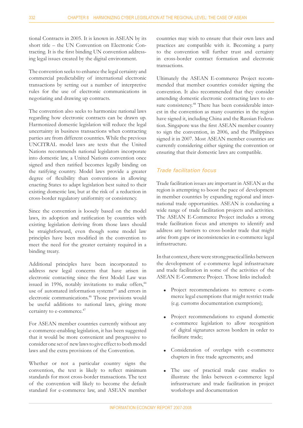tional Contracts in 2005. It is known in ASEAN by its short title – the UN Convention on Electronic Contracting. It is the first binding UN convention addressing legal issues created by the digital environment.

The convention seeks to enhance the legal certainty and commercial predictability of international electronic transactions by setting out a number of interpretive rules for the use of electronic communications in negotiating and drawing up contracts.

The convention also seeks to harmonize national laws regarding how electronic contracts can be drawn up. Harmonized domestic legislation will reduce the legal uncertainty in business transactions when contracting parties are from different countries. While the previous UNCITRAL model laws are texts that the United Nations recommends national legislators incorporate into domestic law, a United Nations convention once signed and then ratified becomes legally binding on the ratifying country. Model laws provide a greater degree of flexibility than conventions in allowing enacting States to adapt legislation best suited to their existing domestic law, but at the risk of a reduction in cross-border regulatory uniformity or consistency.

Since the convention is loosely based on the model laws, its adoption and ratification by countries with existing legislation deriving from those laws should be straightforward, even though some model law principles have been modified in the convention to meet the need for the greater certainty required in a binding treaty.

Additional principles have been incorporated to address new legal concerns that have arisen in electronic contacting since the first Model Law was issued in 1996, notably invitations to make offers,<sup>44</sup> use of automated information systems<sup>45</sup> and errors in electronic communications.46 Those provisions would be useful additions to national laws, giving more certainty to e-commerce.<sup>47</sup>

For ASEAN member countries currently without any e-commerce-enabling legislation, it has been suggested that it would be more convenient and progressive to consider one set of new laws to give effect to both model laws and the extra provisions of the Convention.

Whether or not a particular country signs the convention, the text is likely to reflect minimum standards for most cross-border transactions. The text of the convention will likely to become the default standard for e-commerce law, and ASEAN member countries may wish to ensure that their own laws and practices are compatible with it. Becoming a party to the convention will further trust and certainty in cross-border contract formation and electronic transactions.

Ultimately the ASEAN E-commerce Project recommended that member countries consider signing the convention. It also recommended that they consider amending domestic electronic contracting laws to ensure consistency.<sup>48</sup> There has been considerable interest in the convention as many countries in the region have signed it, including China and the Russian Federation. Singapore was the first ASEAN member country to sign the convention, in 2006, and the Philippines signed it in 2007. Most ASEAN member countries are currently considering either signing the convention or ensuring that their domestic laws are compatible.

### *Trade facilitation focus*

Trade facilitation issues are important in ASEAN as the region is attempting to boost the pace of development in member countries by expanding regional and international trade opportunities. ASEAN is conducting a wide range of trade facilitation projects and activities. The ASEAN E-Commerce Project includes a strong trade facilitation focus and attempts to identify and address any barriers to cross-border trade that might arise from gaps or inconsistencies in e-commerce legal infrastructure.

In that context, there were strong practical links between the development of e-commerce legal infrastructure and trade facilitation in some of the activities of the ASEAN E-Commerce Project. Those links included:

- Project recommendations to remove e-commerce legal exemptions that might restrict trade (e.g. customs documentation exemptions);  $\bullet$
- Project recommendations to expand domestic e-commerce legislation to allow recognition of digital signatures across borders in order to facilitate trade;  $\bullet$
- Consideration of overlaps with e-commerce chapters in free trade agreements; and  $\bullet$
- The use of practical trade case studies to illustrate the links between e-commerce legal infrastructure and trade facilitation in project workshops and documentation  $\bullet$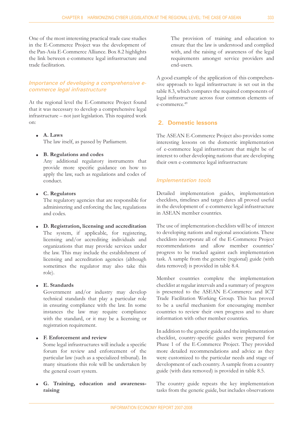One of the most interesting practical trade case studies in the E-Commerce Project was the development of the Pan-Asia E-Commerce Alliance. Box 8.2 highlights the link between e-commerce legal infrastructure and trade facilitation.

#### *Importance of developing a comprehensive ecommerce legal infrastructure*

At the regional level the E-Commerce Project found that it was necessary to develop a comprehensive legal infrastructure - not just legislation. This required work on:

**A. Laws** L The law itself, as passed by Parliament.

#### **B. Regulations and codes** L

Any additional regulatory instruments that provide more specific guidance on how to apply the law, such as regulations and codes of conduct.

#### **C. Regulators** L

The regulatory agencies that are responsible for administering and enforcing the law, regulations and codes.

**D. Registration, licensing and accreditation** L The system, if applicable, for registering, licensing and/or accrediting individuals and organizations that may provide services under the law. This may include the establishment of licensing and accreditation agencies (although sometimes the regulator may also take this role).

#### **E. Standards**  $\bullet$

Government and/or industry may develop technical standards that play a particular role in ensuring compliance with the law. In some instances the law may require compliance with the standard, or it may be a licensing or registration requirement.

#### **F. Enforcement and review**  $\bullet$

Some legal infrastructures will include a specific forum for review and enforcement of the particular law (such as a specialized tribunal). In many situations this role will be undertaken by the general court system.

**G. Training, education and awarenessraising**  $\bullet$ 

The provision of training and education to ensure that the law is understood and complied with, and the raising of awareness of the legal requirements amongst service providers and end-users.

A good example of the application of this comprehensive approach to legal infrastructure is set out in the table 8.3, which compares the required components of legal infrastructure across four common elements of e-commerce.49

#### **2. Domestic lessons**

The ASEAN E-Commerce Project also provides some interesting lessons on the domestic implementation of e-commerce legal infrastructure that might be of interest to other developing nations that are developing their own e-commerce legal infrastructure

#### *Implementation tools*

Detailed implementation guides, implementation checklists, timelines and target dates all proved useful in the development of e-commerce legal infrastructure in ASEAN member countries.

The use of implementation checklists will be of interest to developing nations and regional associations. These checklists incorporate all of the E-Commerce Project recommendations and allow member countries' progress to be tracked against each implementation task. A sample from the generic (regional) guide (with data removed) is provided in table 8.4.

Member countries complete the implementation checklist at regular intervals and a summary of progress is presented to the ASEAN E-Commerce and ICT Trade Facilitation Working Group. This has proved to be a useful mechanism for encouraging member countries to review their own progress and to share information with other member countries.

In addition to the generic guide and the implementation checklist, country-specific guides were prepared for Phase 1 of the E-Commerce Project. They provided more detailed recommendations and advice as they were customized to the particular needs and stage of development of each country. A sample from a country guide (with data removed) is provided in table 8.5.

The country guide repeats the key implementation tasks from the generic guide, but includes observations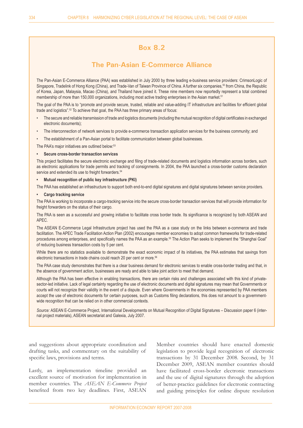# **Box 8.2**

# **The Pan-Asian E-Commerce Alliance**

The Pan-Asian E-Commerce Alliance (PAA) was established in July 2000 by three leading e-business service providers: CrimsonLogic of Singapore, Tradelink of Hong Kong (China), and Trade-Van of Taiwan Province of China. A further six companies,<sup>50</sup> from China, the Republic of Korea, Japan, Malaysia, Macao (China), and Thailand have joined it. These nine members now reportedly represent a total combined membership of more than 150,000 organizations, including most active trading enterprises in the Asian market.<sup>51</sup>

The goal of the PAA is to "promote and provide secure, trusted, reliable and value-adding IT infrastructure and facilities for efficient global trade and logistics".52 To achieve that goal, the PAA has three primary areas of focus:

- The secure and reliable transmission of trade and logistics documents (including the mutual recognition of digital certificates in exchanged electronic documents); •
- The interconnection of network services to provide e-commerce transaction application services for the business community; and •
- The establishment of a Pan-Asian portal to facilitate communication between global businesses. •

The PAA's major initiatives are outlined below:<sup>53</sup>

#### **Secure cross-border transaction services •**

This project facilitates the secure electronic exchange and filing of trade-related documents and logistics information across borders, such as electronic applications for trade permits and tracking of consignments. In 2004, the PAA launched a cross-border customs declaration service and extended its use to freight forwarders.<sup>54</sup>

#### **Mutual recognition of public key infrastructure (PKI) •**

The PAA has established an infrastructure to support both end-to-end digital signatures and digital signatures between service providers.

#### **Cargo tracking service •**

The PAA is working to incorporate a cargo-tracking service into the secure cross-border transaction services that will provide information for freight forwarders on the status of their cargo.

The PAA is seen as a successful and growing initiative to facilitate cross border trade. Its significance is recognized by both ASEAN and APEC.

The ASEAN E-Commerce Legal Infrastructure project has used the PAA as a case study on the links between e-commerce and trade facilitation. The APEC Trade Facilitation Action Plan (2002) encourages member economies to adopt common frameworks for trade-related procedures among enterprises, and specifically names the PAA as an example.<sup>55</sup> The Action Plan seeks to implement the "Shanghai Goal" of reducing business transaction costs by 5 per cent.

While there are no statistics available to demonstrate the exact economic impact of its initiatives, the PAA estimates that savings from electronic transactions in trade chains could reach 20 per cent or more.<sup>56</sup>

The PAA case study demonstrates that there is a clear business demand for electronic services to enable cross-border trading and that, in the absence of government action, businesses are ready and able to take joint action to meet that demand.

Although the PAA has been effective in enabling transactions, there are certain risks and challenges associated with this kind of privatesector-led initiative. Lack of legal certainty regarding the use of electronic documents and digital signatures may mean that Governments or courts will not recognize their validity in the event of a dispute. Even where Governments in the economies represented by PAA members accept the use of electronic documents for certain purposes, such as Customs filing declarations, this does not amount to a governmentwide recognition that can be relied on in other commercial contexts.

*Source:* ASEAN E-Commerce Project, International Developments on Mutual Recognition of Digital Signatures – Discussion paper 6 (internal project materials), ASEAN secretariat and Galexia, July 2007.

and suggestions about appropriate coordination and drafting tasks, and commentary on the suitability of specific laws, provisions and terms.

Lastly, an implementation timeline provided an excellent source of motivation for implementation in member countries. The *ASEAN E-Commerce Project* benefited from two key deadlines. First, ASEAN

Member countries should have enacted domestic legislation to provide legal recognition of electronic transactions by 31 December 2008. Second, by 31 December 2009, ASEAN member countries should have facilitated cross-border electronic transactions and the use of digital signatures through the adoption of better-practice guidelines for electronic contracting and guiding principles for online dispute resolution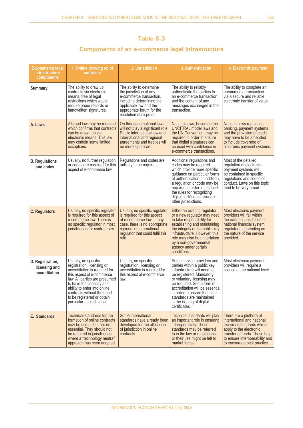# **Table 8.3**

# **Components of an e-commerce legal infrastructure**

| <b>E-commerce legal</b><br>infrastructure<br>components | 1. Online drawing up of<br>contracts                                                                                                                                                                                                                                                                   | 2. Jurisdiction                                                                                                                                                                                       | 3. Authentication                                                                                                                                                                                                                                                                                                            | 4. Electronic payment                                                                                                                                                                                           |
|---------------------------------------------------------|--------------------------------------------------------------------------------------------------------------------------------------------------------------------------------------------------------------------------------------------------------------------------------------------------------|-------------------------------------------------------------------------------------------------------------------------------------------------------------------------------------------------------|------------------------------------------------------------------------------------------------------------------------------------------------------------------------------------------------------------------------------------------------------------------------------------------------------------------------------|-----------------------------------------------------------------------------------------------------------------------------------------------------------------------------------------------------------------|
| <b>Summary</b>                                          | The ability to draw up<br>contracts via electronic<br>means, free of legal<br>restrictions which would<br>require paper records or<br>handwritten signatures.                                                                                                                                          | The ability to determine<br>the jurisdiction of any<br>e-commerce transaction,<br>including determining the<br>applicable law and the<br>appropriate forum for the<br>resolution of disputes.         | The ability to reliably<br>authenticate the parties to<br>an e-commerce transaction<br>and the content of any<br>messages exchanged in the<br>transaction.                                                                                                                                                                   | The ability to complete an<br>e-commerce transaction<br>via a secure and reliable<br>electronic transfer of value.                                                                                              |
| A. Laws                                                 | A broad law may be required<br>which confirms that contracts<br>can be drawn up via<br>electronic means. This law<br>may contain some limited<br>exceptions.                                                                                                                                           | On this issue national laws<br>will not play a significant role.<br>Public international law and<br>international and regional<br>agreements and treaties will<br>be more significant.                | National laws, based on the<br>UNCITRAL model laws and<br>the UN Convention, may be<br>required in order to ensure<br>that digital signatures can<br>be used with confidence in<br>e-commerce transactions.                                                                                                                  | National laws regulating<br>banking, payment systems<br>and the provision of credit<br>may have to be amended<br>to include coverage of<br>electronic payment systems.                                          |
| <b>B.</b> Regulations<br>and codes                      | Usually, no further regulation<br>or codes are required for this<br>aspect of e-commerce law.                                                                                                                                                                                                          | Regulations and codes are<br>unlikely to be required.                                                                                                                                                 | Additional regulations and<br>codes may be required<br>which provide more specific<br>guidance on particular forms<br>of authentication. In addition,<br>a regulation or code may be<br>required in order to establish<br>the rules for recognizing<br>digital certificates issued in<br>other jurisdictions.                | Most of the detailed<br>regulation of electronic<br>payment systems will<br>be contained in specific<br>regulations and codes of<br>conduct. Laws on this topic<br>tend to be very broad.                       |
| <b>C. Regulators</b>                                    | Usually, no specific regulator<br>is required for this aspect of<br>e-commerce law. There is<br>no specific regulator in most<br>jurisdictions for contract law.                                                                                                                                       | Usually, no specific regulator<br>is required for this aspect<br>of e-commerce law. In any<br>case, there is no appropriate<br>regional or international<br>regulator that could fulfil this<br>role. | Either an existing regulator<br>or a new regulator may need<br>to take responsibility for<br>establishing and maintaining<br>the integrity of the public key<br>infrastructure. However, this<br>role may also be undertaken<br>by a non-governmental<br>agency under certain<br>conditions.                                 | Most electronic payment<br>providers will fall within<br>the existing jurisdiction of<br>national financial system<br>regulators, depending on<br>the nature of the service<br>provided.                        |
| D. Registration,<br>licensing and<br>accreditation      | Usually, no specific<br>registration, licensing or<br>accreditation is required for<br>this aspect of e-commerce<br>law. All parties are presumed<br>to have the capacity and<br>ability to enter into online<br>contracts without the need<br>to be registered or obtain<br>particular accreditation. | Usually, no specific<br>registration, licensing or<br>accreditation is required for<br>this aspect of e-commerce<br>law.                                                                              | Some service providers and<br>parties within a public key<br>infrastructure will need to<br>be registered. Mandatory<br>or voluntary licensing may<br>be required. Some form of<br>accreditation will be essential<br>in order to ensure that high<br>standards are maintained<br>in the issuing of digital<br>certificates. | Most electronic payment<br>providers will require a<br>licence at the national level.                                                                                                                           |
| E. Standards                                            | Technical standards for the<br>formation of online contracts<br>may be useful, but are not<br>essential. They should not<br>be required in jurisdictions<br>where a "technology neutral"<br>approach has been adopted.                                                                                 | Some international<br>standards have already been<br>developed for the allocation<br>of jurisdiction in online<br>contracts.                                                                          | Technical standards will play<br>an important role in ensuring<br>interoperability. These<br>standards may be referred<br>to in the law or regulations,<br>or their use might be left to<br>market forces.                                                                                                                   | There are a plethora of<br>international and national<br>technical standards which<br>apply to the electronic<br>transfer of funds. These help<br>to ensure interoperability and<br>to encourage best practice. |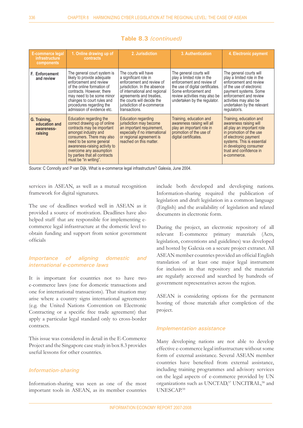| <b>E-commerce legal</b><br><i>infrastructure</i><br>components | 1. Online drawing up of<br><b>contracts</b>                                                                                                                                                                                                                                                 | 2. Jurisdiction                                                                                                                                                                                                                                      | 3. Authentication                                                                                                                                                                                               | 4. Electronic payment                                                                                                                                                                                                                  |
|----------------------------------------------------------------|---------------------------------------------------------------------------------------------------------------------------------------------------------------------------------------------------------------------------------------------------------------------------------------------|------------------------------------------------------------------------------------------------------------------------------------------------------------------------------------------------------------------------------------------------------|-----------------------------------------------------------------------------------------------------------------------------------------------------------------------------------------------------------------|----------------------------------------------------------------------------------------------------------------------------------------------------------------------------------------------------------------------------------------|
| F. Enforcement<br>and review                                   | The general court system is<br>likely to provide adequate<br>enforcement and review<br>of the online formation of<br>contracts. However, there<br>may need to be some minor<br>changes to court rules and<br>procedures regarding the<br>admission of evidence etc.                         | The courts will have<br>a significant role in<br>enforcement and review of<br>jurisdiction. In the absence<br>of international and regional<br>agreements and treaties.<br>the courts will decide the<br>jurisdiction of e-commerce<br>transactions. | The general courts will<br>play a limited role in the<br>enforcement and review of<br>the use of digital certificates.<br>Some enforcement and<br>review activities may also be<br>undertaken by the regulator. | The general courts will<br>play a limited role in the<br>enforcement and review<br>of the use of electronic<br>payment systems. Some<br>enforcement and review<br>activities may also be<br>undertaken by the relevant<br>regulator/s. |
| G. Training,<br>education and<br>awareness-<br>raising         | Education regarding the<br>correct drawing up of online<br>contracts may be important<br>amongst industry and<br>consumers. There may also<br>need to be some general<br>awareness-raising activity to<br>overcome any assumption<br>by parties that all contracts<br>must be "in writing". | <b>Education regarding</b><br>jurisdiction may become<br>an important requirement,<br>especially if no international<br>or regional agreement is<br>reached on this matter.                                                                          | Training, education and<br>awareness raising will all<br>play an important role in<br>promotion of the use of<br>digital certificates.                                                                          | Training, education and<br>awareness raising will<br>all play an important role<br>in promotion of the use<br>of electronic payment<br>systems. This is essential<br>in developing consumer<br>trust and confidence in<br>e-commerce.  |

### **Table 8.3** *(continued)*

*Source:* C Connolly and P van Dijk, What is e-commerce legal infrastructure? Galexia, June 2004.

services in ASEAN, as well as a mutual recognition framework for digital signatures.

The use of deadlines worked well in ASEAN as it provided a source of motivation. Deadlines have also helped staff that are responsible for implementing ecommerce legal infrastructure at the domestic level to obtain funding and support from senior government officials

#### *Importance of aligning domestic and international e-commerce laws*

It is important for countries not to have two e-commerce laws (one for domestic transactions and one for international transactions). That situation may arise where a country signs international agreements (e.g. the United Nations Convention on Electronic Contracting or a specific free trade agreement) that apply a particular legal standard only to cross-border contracts.

This issue was considered in detail in the E-Commerce Project and the Singapore case study in box 8.3 provides useful lessons for other countries.

#### *Information-sharing*

Information-sharing was seen as one of the most important tools in ASEAN, as its member countries include both developed and developing nations. Information-sharing required the publication of legislation and draft legislation in a common language (English) and the availability of legislation and related documents in electronic form.

During the project, an electronic repository of all relevant E-commerce primary materials (Acts, legislation, conventions and guidelines) was developed and hosted by Galexia on a secure project extranet. All ASEAN member countries provided an official English translation of at least one major legal instrument for inclusion in that repository and the materials are regularly accessed and searched by hundreds of government representatives across the region.

ASEAN is considering options for the permanent hosting of those materials after completion of the project.

#### *Implementation assistance*

Many developing nations are not able to develop effective e-commerce legal infrastructure without some form of external assistance. Several ASEAN member countries have benefited from external assistance, including training programmes and advisory services on the legal aspects of e-commerce provided by UN organizations such as UNCTAD,<sup>57</sup> UNCITRAL,<sup>58</sup> and UNESCAP.<sup>59</sup>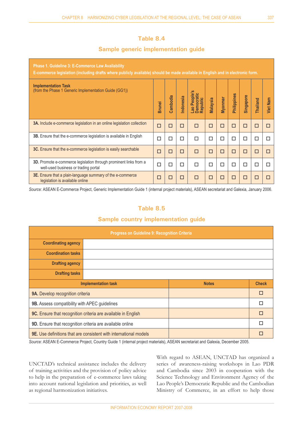## **Table 8.4**

### **Sample generic implementation guide**

| <b>Phase 1. Guideline 3: E-Commerce Law Availability</b><br>E-commerce legislation (including drafts where publicly available) should be made available in English and in electronic form. |               |          |           |                                        |          |         |             |                  |          |                 |
|--------------------------------------------------------------------------------------------------------------------------------------------------------------------------------------------|---------------|----------|-----------|----------------------------------------|----------|---------|-------------|------------------|----------|-----------------|
| <b>Implementation Task</b><br>(from the Phase 1 Generic Implementation Guide (GG1))                                                                                                        | <b>Brunei</b> | Cambodia | Indonesia | Lao People's<br>Democratic<br>Republic | Malaysia | Myanmar | Philippines | <b>Singapore</b> | Thailand | <b>Viet Nam</b> |
| 3A. Include e-commerce legislation in an online legislation collection                                                                                                                     | □             | п        | □         | П                                      | □        | □       | □           | □                | п        | □               |
| <b>3B.</b> Ensure that the e-commerce legislation is available in English                                                                                                                  | □             | □        | □         | П                                      | □        | □       | □           | □                | □        | П               |
| <b>3C.</b> Ensure that the e-commerce legislation is easily searchable                                                                                                                     | □             | □        | □         | П                                      | □        | □       | □           | □                | □        | □               |
| <b>3D.</b> Promote e-commerce legislation through prominent links from a<br>well-used business or trading portal                                                                           | □             | П        | □         | П                                      | п        | □       | □           | □                | П        | ш               |
| 3E. Ensure that a plain-language summary of the e-commerce<br>legislation is available online                                                                                              | □             | П        | □         | П                                      | □        | □       | □           | □                | п        |                 |

*Source:* ASEAN E-Commerce Project, Generic Implementation Guide 1 (internal project materials), ASEAN secretariat and Galexia, January 2006.

# **Table 8.5**

### **Sample country implementation guide**

| <b>Progress on Guideline 9: Recognition Criteria</b>          |                                                                          |  |   |  |  |
|---------------------------------------------------------------|--------------------------------------------------------------------------|--|---|--|--|
| <b>Coordinating agency</b>                                    |                                                                          |  |   |  |  |
| <b>Coordination tasks</b>                                     |                                                                          |  |   |  |  |
| <b>Drafting agency</b>                                        |                                                                          |  |   |  |  |
| <b>Drafting tasks</b>                                         |                                                                          |  |   |  |  |
| <b>Check</b><br><b>Notes</b><br><b>Implementation task</b>    |                                                                          |  |   |  |  |
| 9A. Develop recognition criteria                              |                                                                          |  | П |  |  |
| 9B. Assess compatibility with APEC guidelines                 |                                                                          |  | п |  |  |
| 9C. Ensure that recognition criteria are available in English |                                                                          |  | П |  |  |
| 9D. Ensure that recognition criteria are available online     |                                                                          |  | п |  |  |
|                                                               | <b>9E.</b> Use definitions that are consistent with international models |  |   |  |  |

*Source:* ASEAN E-Commerce Project, Country Guide 1 (internal project materials), ASEAN secretariat and Galexia, December 2005.

UNCTAD's technical assistance includes the delivery of training activities and the provision of policy advice to help in the preparation of e-commerce laws taking into account national legislation and priorities, as well as regional harmonization initiatives.

With regard to ASEAN, UNCTAD has organized a series of awareness-raising workshops in Lao PDR and Cambodia since 2003 in cooperation with the Science Technology and Environment Agency of the Lao People's Democratic Republic and the Cambodian Ministry of Commerce, in an effort to help those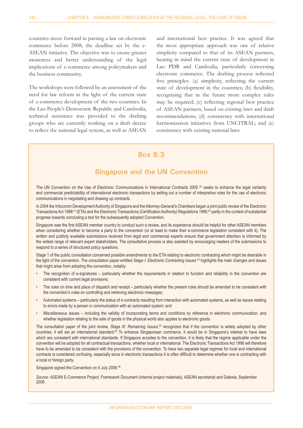countries move forward in passing a law on electronic commerce before 2008, the deadline set by the e-ASEAN initiative. The objective was to create greater awareness and better understanding of the legal implications of e-commerce among policymakers and the business community.

The workshops were followed by an assessment of the need for law reform in the light of the current state of e-commerce development of the two countries. In the Lao People's Democratic Republic and Cambodia, technical assistance was provided to the drafting groups who are currently working on a draft decree to reflect the national legal system, as well as ASEAN

and international best practice. It was agreed that the most appropriate approach was one of relative simplicity compared to that of its ASEAN partners, bearing in mind the current state of development in Lao PDR and Cambodia, particularly concerning electronic commerce. The drafting process reflected five principles: (a) simplicity, reflecting the current state of development in the countries; (b) flexibility, recognizing that in the future more complex rules may be required; (c) reflecting regional best practice of ASEAN partners, based on existing laws and draft recommendations; (d) consistency with international harmonization initiatives from UNCITRAL; and (e) consistency with existing national laws.

# **Box 8.3**

### **Singapore and the UN Convention**

The UN Convention on the Use of Electronic Communications in International Contracts 2005 <sup>60</sup> seeks to enhance the legal certainty and commercial predictability of international electronic transactions by setting out a number of interpretive rules for the use of electronic communications in negotiating and drawing up contracts.

In 2004 the Infocomm Development Authority of Singapore and the Attorney-General's Chambers began a joint public review of the Electronic Transactions Act 1998<sup>61</sup> (ETA) and the Electronic Transactions (Certification Authority) Regulations 1999,<sup>62</sup> partly in the context of substantial progress towards concluding a text for the subsequently adopted Convention.

Singapore was the first ASEAN member country to conduct such a review, and its experience should be helpful for other ASEAN members when considering whether to become a party to the convention (or at least to make their e-commerce legislation consistent with it). The written and publicly available submissions received from legal and commercial experts ensure that government attention is informed by the widest range of relevant expert stakeholders. The consultative process is also assisted by encouraging readers of the submissions to respond to a series of structured policy questions.

Stage 1 of the public consultation concerned possible amendments to the ETA relating to electronic contracting which might be desirable in the light of the convention. The consultation paper entitled *Stage I: Electronic Contracting Issues* <sup>63</sup> highlights the main changes and issues that might arise from adopting the convention, notably:

- The recognition of e-signatures particularly whether the requirements in relation to function and reliability in the convention are consistent with current legal provisions; •
- The rules on time and place of dispatch and receipt particularly whether the present rules should be amended to be consistent with the convention's rules on controlling and retrieving electronic messages; •
- Automated systems particularly the status of e-contracts resulting from interaction with automated systems, as well as issues relating to errors made by a person in communication with an automated system; and •
- Miscellaneous issues including the validity of incorporating terms and conditions by reference in electronic communication, and whether legislation relating to the sale of goods in the physical world also applies to electronic goods. •

The consultation paper of the joint review, *Stage III: Remaining Issues*,<sup>64</sup> recognizes that if the convention is widely adopted by other countries, it will set an international standard.65 To enhance Singaporean commerce, it would be in Singapore's interest to have laws which are consistent with international standards. If Singapore accedes to the convention, it is likely that the regime applicable under the convention will be adopted for all contractual transactions, whether local or international. The Electronic Transactions Act 1998 will therefore have to be amended to be consistent with the provisions of the convention. To have two separate legal regimes for local and international contracts is considered confusing, especially since in electronic transactions it is often difficult to determine whether one is contracting with a local or foreign party.

Singapore signed the Convention on 6 July 2006.<sup>66</sup>

*Source:* ASEAN E-Commerce Project, Framework Document (internal project materials), ASEAN secretariat and Galexia, September 2006.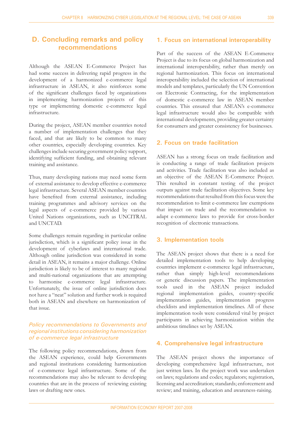# **D. Concluding remarks and policy recommendations**

Although the ASEAN E-Commerce Project has had some success in delivering rapid progress in the development of a harmonized e-commerce legal infrastructure in ASEAN, it also reinforces some of the significant challenges faced by organizations in implementing harmonization projects of this type or implementing domestic e-commerce legal infrastructure.

During the project, ASEAN member countries noted a number of implementation challenges that they faced, and that are likely to be common to many other countries, especially developing countries. Key challenges include securing government policy support, identifying sufficient funding, and obtaining relevant training and assistance.

Thus, many developing nations may need some form of external assistance to develop effective e-commerce legal infrastructure. Several ASEAN member countries have benefited from external assistance, including training programmes and advisory services on the legal aspects of e-commerce provided by various United Nations organizations, such as UNCITRAL and UNCTAD.

Some challenges remain regarding in particular online jurisdiction, which is a significant policy issue in the development of cyberlaws and international trade. Although online jurisdiction was considered in some detail in ASEAN, it remains a major challenge. Online jurisdiction is likely to be of interest to many regional and multi-national organizations that are attempting to harmonise e-commerce legal infrastructure. Unfortunately, the issue of online jurisdiction does not have a "neat" solution and further work is required both in ASEAN and elsewhere on harmonization of that issue.

#### *Policy recommendations to Governments and regional institutions considering harmonization of e-commerce legal infrastructure*

The following policy recommendations, drawn from the ASEAN experience, could help Governments and regional institutions considering harmonization of e-commerce legal infrastructure. Some of the recommendations may also be relevant to developing countries that are in the process of reviewing existing laws or drafting new ones.

#### **1. Focus on international interoperability**

Part of the success of the ASEAN E-Commerce Project is due to its focus on global harmonization and international interoperability, rather than merely on regional harmonization. This focus on international interoperability included the selection of international models and templates, particularly the UN Convention on Electronic Contracting, for the implementation of domestic e-commerce law in ASEAN member countries. This ensured that ASEAN's e-commerce legal infrastructure would also be compatible with international developments, providing greater certainty for consumers and greater consistency for businesses.

#### **2. Focus on trade facilitation**

ASEAN has a strong focus on trade facilitation and is conducting a range of trade facilitation projects and activities. Trade facilitation was also included as an objective of the ASEAN E-Commerce Project. This resulted in constant testing of the project outputs against trade facilitation objectives. Some key recommendations that resulted from this focus were the recommendation to limit e-commerce law exemptions that impact on trade and the recommendation to adapt e-commerce laws to provide for cross-border recognition of electronic transactions.

#### **3. Implementation tools**

The ASEAN project shows that there is a need for detailed implementation tools to help developing countries implement e-commerce legal infrastructure, rather than simply high-level recommendations or generic discussion papers. The implementation tools used in the ASEAN project included regional implementation guides, country-specific implementation guides, implementation progress checklists and implementation timelines. All of these implementation tools were considered vital by project participants in achieving harmonization within the ambitious timelines set by ASEAN.

#### **4. Comprehensive legal infrastructure**

The ASEAN project shows the importance of developing comprehensive legal infrastructure, not just written laws. In the project work was undertaken on laws; regulations and codes; regulators; registration, licensing and accreditation; standards; enforcement and review; and training, education and awareness-raising.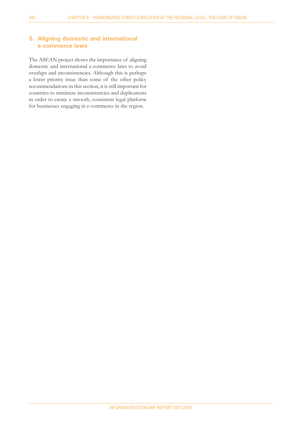#### **5. Aligning domestic and international e-commerce laws**

The ASEAN project shows the importance of aligning domestic and international e-commerce laws to avoid overlaps and inconsistencies. Although this is perhaps a lower priority issue than some of the other policy recommendations in this section, it is still important for countries to minimize inconsistencies and duplications in order to create a smooth, consistent legal platform for businesses engaging in e-commerce in the region.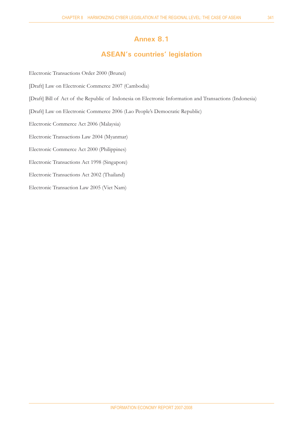# **Annex 8.1**

# **ASEAN's countries' legislation**

Electronic Transactions Order 2000 (Brunei) [Draft] Law on Electronic Commerce 2007 (Cambodia) [Draft] Bill of Act of the Republic of Indonesia on Electronic Information and Transactions (Indonesia) [Draft] Law on Electronic Commerce 2006 (Lao People's Democratic Republic) Electronic Commerce Act 2006 (Malaysia) Electronic Transactions Law 2004 (Myanmar) Electronic Commerce Act 2000 (Philippines) Electronic Transactions Act 1998 (Singapore) Electronic Transactions Act 2002 (Thailand) Electronic Transaction Law 2005 (Viet Nam)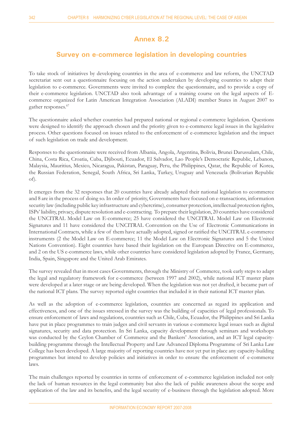# **Annex 8.2**

# **Survey on e-commerce legislation in developing countries**

To take stock of initiatives by developing countries in the area of e-commerce and law reform, the UNCTAD secretariat sent out a questionnaire focusing on the action undertaken by developing countries to adapt their legislation to e-commerce. Governments were invited to complete the questionnaire, and to provide a copy of their e-commerce legislation. UNCTAD also took advantage of a training course on the legal aspects of Ecommerce organized for Latin American Integration Association (ALADI) member States in August 2007 to gather responses.<sup>67</sup>

The questionnaire asked whether countries had prepared national or regional e-commerce legislation. Questions were designed to identify the approach chosen and the priority given to e-commerce legal issues in the legislative process. Other questions focused on issues related to the enforcement of e-commerce legislation and the impact of such legislation on trade and development.

Responses to the questionnaire were received from Albania, Angola, Argentina, Bolivia, Brunei Darussalam, Chile, China, Costa Rica, Croatia, Cuba, Djibouti, Ecuador, El Salvador, Lao People's Democratic Republic, Lebanon, Malaysia, Mauritius, Mexico, Nicaragua, Pakistan, Paraguay, Peru, the Philippines, Qatar, the Republic of Korea, the Russian Federation, Senegal, South Africa, Sri Lanka, Turkey, Uruguay and Venezuela (Bolivarian Republic of).

It emerges from the 32 responses that 20 countries have already adapted their national legislation to ecommerce and 8 are in the process of doing so. In order of priority, Governments have focused on e-transactions, information security law (including public key infrastructure and cybercrime), consumer protection, intellectual protection rights, ISPs' liability, privacy, dispute resolution and e-contracting. To prepare their legislation, 20 countries have considered the UNCITRAL Model Law on E-commerce; 25 have considered the UNCITRAL Model Law on Electronic Signatures and 11 have considered the UNCITRAL Convention on the Use of Electronic Communications in International Contracts, while a few of them have actually adopted, signed or ratified the UNCITRAL e-commerce instruments (2 the Model Law on E-commerce; 11 the Model Law on Electronic Signatures and 5 the United Nations Convention). Eight countries have based their legislation on the European Directive on E-commerce, and 2 on the US e-commerce laws, while other countries have considered legislation adopted by France, Germany, India, Spain, Singapore and the United Arab Emirates.

The survey revealed that in most cases Governments, through the Ministry of Commerce, took early steps to adapt the legal and regulatory framework for e-commerce (between 1997 and 2002), while national ICT master plans were developed at a later stage or are being developed. When the legislation was not yet drafted, it became part of the national ICT plans. The survey reported eight countries that included it in their national ICT master plan.

As well as the adoption of e-commerce legislation, countries are concerned as regard its application and effectiveness, and one of the issues stressed in the survey was the building of capacities of legal professionals. To ensure enforcement of laws and regulations, countries such as Chile, Cuba, Ecuador, the Philippines and Sri Lanka have put in place programmes to train judges and civil servants in various e-commerce legal issues such as digital signatures, security and data protection. In Sri Lanka, capacity development through seminars and workshops was conducted by the Ceylon Chamber of Commerce and the Bankers' Association, and an ICT legal capacitybuilding programme through the Intellectual Property and Law Advanced Diploma Programme of Sri Lanka Law College has been developed. A large majority of reporting countries have not yet put in place any capacity-building programmes but intend to develop policies and initiatives in order to ensure the enforcement of e-commerce laws.

The main challenges reported by countries in terms of enforcement of e-commerce legislation included not only the lack of human resources in the legal community but also the lack of public awareness about the scope and application of the law and its benefits, and the legal security of e-business through the legislation adopted. More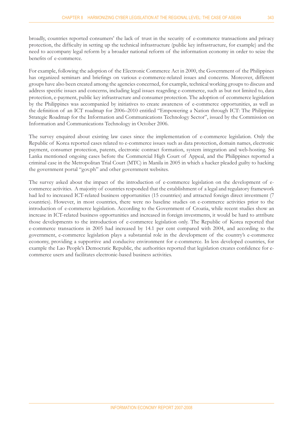broadly, countries reported consumers' the lack of trust in the security of e-commerce transactions and privacy protection, the difficulty in setting up the technical infrastructure (public key infrastructure, for example) and the need to accompany legal reform by a broader national reform of the information economy in order to seize the benefits of e-commerce.

For example, following the adoption of the Electronic Commerce Act in 2000, the Government of the Philippines has organized seminars and briefings on various e-commerce-related issues and concerns. Moreover, different groups have also been created among the agencies concerned, for example, technical working groups to discuss and address specific issues and concerns, including legal issues reagrding e-commerce, such as but not limited to, data protection, e-payment, public key infrastructure and consumer protection. The adoption of ecommerce legislation by the Philippines was accompanied by initiatives to create awareness of e-commerce opportunities, as well as the definition of an ICT roadmap for 2006–2010 entitled "Empowering a Nation through ICT: The Philippine Strategic Roadmap for the Information and Communications Technology Sector", issued by the Commission on Information and Communications Technology in October 2006.

The survey enquired about existing law cases since the implementation of e-commerce legislation. Only the Republic of Korea reported cases related to e-commerce issues such as data protection, domain names, electronic payment, consumer protection, patents, electronic contract formation, system integration and web-hosting. Sri Lanka mentioned ongoing cases before the Commercial High Court of Appeal, and the Philippines reported a criminal case in the Metropolitan Trial Court (MTC) in Manila in 2005 in which a hacker pleaded guilty to hacking the government portal "gov.ph" and other government websites.

The survey asked about the impact of the introduction of e-commerce legislation on the development of ecommerce activities. A majority of countries responded that the establishment of a legal and regulatory framework had led to increased ICT-related business opportunities (15 countries) and attracted foreign direct investment (7 countries). However, in most countries, there were no baseline studies on e-commerce activities prior to the introduction of e-commerce legislation. According to the Government of Croatia, while recent studies show an increase in ICT-related business opportunities and increased in foreign investments, it would be hard to attribute those developments to the introduction of e-commerce legislation only. The Republic of Korea reported that e-commerce transactions in 2005 had increased by 14.1 per cent compared with 2004, and according to the government, e-commerce legislation plays a substantial role in the development of the country's e-commerce economy, providing a supportive and conducive environment for e-commerce. In less developed countries, for example the Lao People's Democratic Republic, the authorities reported that legislation creates confidence for ecommerce users and facilitates electronic-based business activities.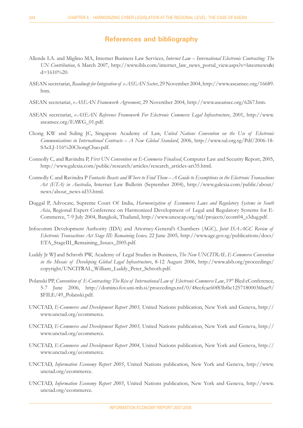### **References and bibliography**

- Allende LA. and Miglino MA, Internet Business Law Services, *Internet Law International Electronic Contracting: The UN Contribution*, 6 March 2007, http://www.ibls.com/internet\_law\_news\_portal\_view.aspx?s=latestnews&i d=1610%20.
- ASEAN secretariat, *Roadmap for Integration of e-ASEAN Sector*, 29 November 2004, http://www.aseansec.org/16689. htm.
- ASEAN secretariat, *e-ASEAN Framework Agreement*, 29 November 2004, http://www.aseansec.org/6267.htm.
- ASEAN secretariat, *e-ASEAN Reference Framework For Electronic Commerce Legal Infrastructure*, 2001, http://www. aseansec.org/EAWG\_01.pdf.
- Chong KW and Suling JC, Singapore Academy of Law, United Nations Convention on the Use of Electronic *Communications in International Contracts – A New Global Standard*, 2006, http://www.sal.org.sg/Pdf/2006-18- SAcLJ-116%20ChongChao.pdf.
- Connolly C, and Ravindra P, *First UN Convention on E-Commerce Finalised*, Computer Law and Security Report, 2005, http://www.galexia.com/public/research/articles/research\_articles-art35.html.
- Connolly C and Ravindra P *Fantastic Beasts and Where to Find Them A Guide to Exemptions in the Electronic Transactions Act (ETA) in Australia*, Internet Law Bulletin (September 2004), http://www.galexia.com/public/about/ news/about\_news-id33.html.
- Duggal P, Advocate, Supreme Court Of India, *Harmonization of Ecommerce Laws and Regulatory Systems in South Asia*, Regional Expert Conference on Harmonized Development of Legal and Regulatory Systems for E- Commerce, 7-9 July 2004, Bangkok, Thailand, http://www.unescap.org/tid/projects/ecom04\_s3dug.pdf.
- Infocomm Development Authority (IDA) and Attorney-General's Chambers (AGC), *Joint ISA-AGC Review of Electronic Transactions Act Stage III: Remaining Issues, 22 June 2005, http://www.agc.gov.sg/publications/docs/* ETA\_StageIII\_Remaining\_Issues\_2005.pdf.
- Luddy Jr WJ and Schroth PW, Academy of Legal Studies in Business, *The New UNCITRAL E-Commerce Convention in the Mosaic of Developing Global Legal Infrastructure*, 8-12 August 2006, http://www.alsb.org/proceedings/ copyright/UNCITRAL\_William\_Luddy\_Peter\_Schroth.pdf.
- Polanski PP, *Convention of E-Contracting: The Rise of International Law of Electronic Commerce Law*, 19<sup>th</sup> Bled eConference, 5-7 June 2006, http://domino.fov.uni-mb.si/proceedings.nsf/0/48ecfcae60f83bf6c12571800036bae9/ \$FILE/49\_Polanski.pdf.
- UNCTAD, *E-Commerce and Development Report 2003,* United Nations publication, New York and Geneva, http:// www.unctad.org/ecommerce.
- UNCTAD, *E-Commerce and Development Report 2003,* United Nations publication, New York and Geneva, http:// www.unctad.org/ecommerce.
- UNCTAD, *E-Commerce and Development Report 2004*, United Nations publication, New York and Geneva, http:// www.unctad.org/ecommerce.
- UNCTAD, *Information Economy Report 2005*, United Nations publication, New York and Geneva, http://www. unctad.org/ecommerce.
- UNCTAD, *Information Economy Report 2005*, United Nations publication, New York and Geneva, http://www. unctad.org/ecommerce.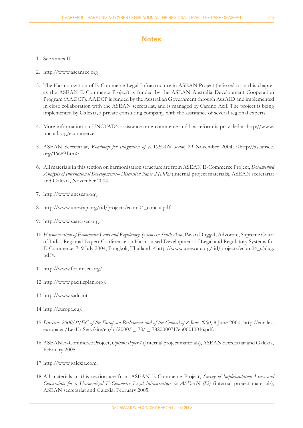### **Notes**

- 1. See annex II.
- http://www.aseansec.org 2.
- The Harmonization of E-Commerce Legal Infrastructure in ASEAN Project (referred to in this chapter 3. as the ASEAN E-Commerce Project) is funded by the ASEAN Australia Development Cooperation Program (AADCP). AADCP is funded by the Australian Government through AusAID and implemented in close collaboration with the ASEAN secretariat, and is managed by Cardno Acil. The project is being implemented by Galexia, a private consulting company, with the assistance of several regional experts.
- 4. More information on UNCTAD's assistance on e-commerce and law reform is provided at http://www. unctad.org/ecommerce.
- 5. ASEAN Secretariat, Roadmap for Integration of e-ASEAN Sector, 29 November 2004, <http://aseansec. org/16689.htm>.
- All materials in this section on harmonisation structure are from ASEAN E-Commerce Project, *Documented*  6. *Analysis of International Developments– Discussion Paper 2 (DP2)* (internal project materials), ASEAN secretariat and Galexia, November 2004.
- http://www.unescap.org. 7.
- http://www.unescap.org/tid/projects/ecom04\_conclu.pdf. 8.
- http://www.saarc-sec.org. 9.
- *Harmonisation of Ecommerce Laws and Regulatory Systems in South Asia*, Pavan Duggal, Advocate, Supreme Court 10. of India, Regional Expert Conference on Harmonised Development of Legal and Regulatory Systems for E-Commerce, 7–9 July 2004, Bangkok, Thailand, <http://www.unescap.org/tid/projects/ecom04\_s3dug. pdf>.
- http://www.forumsec.org/. 11.
- 12. http://www.pacificplan.org/.
- 13. http://www.sadc.int.
- 14. http://europa.eu/.
- 15. Directive 2000/31/EC of the European Parliament and of the Council of 8 June 2000, 8 June 2000, http://eur-lex. europa.eu/LexUriServ/site/en/oj/2000/l\_178/l\_17820000717en00010016.pdf.
- ASEAN E-Commerce Project, *Options Paper 1* (Internal project materials), ASEAN Secretariat and Galexia, 16. February 2005.
- 17. http://www.galexia.com.
- All materials in this section are from ASEAN E-Commerce Project, *Survey of Implementation Issues and*  18. *Constraints for a Harmonized E-Commerce Legal Infrastructure in ASEAN (S2)* (internal project materials), ASEAN secretariat and Galexia, February 2005.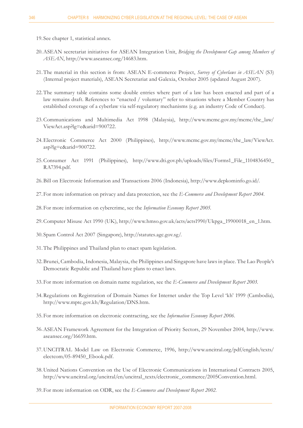- 19. See chapter 1, statistical annex.
- ASEAN secretariat initiatives for ASEAN Integration Unit, *Bridging the Development Gap among Members of*  20. *ASEAN*, http://www.aseansec.org/14683.htm.
- 21. The material in this section is from: ASEAN E-commerce Project, *Survey of Cyberlaws in ASEAN* (S3) (Internal project materials), ASEAN Secretariat and Galexia, October 2005 (updated August 2007).
- 22. The summary table contains some double entries where part of a law has been enacted and part of a law remains draft. References to "enacted / voluntary" refer to situations where a Member Country has established coverage of a cyberlaw via self-regulatory mechanisms (e.g. an industry Code of Conduct).
- 23. Communications and Multimedia Act 1998 (Malaysia), http://www.mcmc.gov.my/mcmc/the\_law/ ViewAct.asp?lg=e&arid=900722.
- Electronic Commerce Act 2000 (Philippines), http://www.mcmc.gov.my/mcmc/the\_law/ViewAct. 24. asp?lg=e&arid=900722.
- 25. Consumer Act 1991 (Philippines), http://www.dti.gov.ph/uploads/files/Forms1\_File\_1104836450\_ RA7394.pdf.
- 26. Bill on Electronic Information and Transactions 2006 (Indonesia), http://www.depkominfo.go.id/.
- 27. For more information on privacy and data protection, see the *E-Commerce and Development Report 2004*.
- 28. For more information on cybercrime, see the Information Economy Report 2005.
- 29. Computer Misuse Act 1990 (UK), http://www.hmso.gov.uk/acts/acts1990/Ukpga\_19900018\_en\_1.htm.
- Spam Control Act 2007 (Singapore), http://statutes.agc.gov.sg/. 30.
- 31. The Philippines and Thailand plan to enact spam legislation.
- 32. Brunei, Cambodia, Indonesia, Malaysia, the Philippines and Singapore have laws in place. The Lao People's Democratic Republic and Thailand have plans to enact laws.
- 33. For more information on domain name regulation, see the *E-Commerce and Development Report 2003*.
- 34. Regulations on Registration of Domain Names for Internet under the Top Level 'kh' 1999 (Cambodia), http://www.mptc.gov.kh/Regulation/DNS.htm.
- 35. For more information on electronic contracting, see the Information Economy Report 2006.
- ASEAN Framework Agreement for the Integration of Priority Sectors, 29 November 2004, http://www. 36. aseansec.org/16659.htm.
- UNCITRAL Model Law on Electronic Commerce, 1996, http://www.uncitral.org/pdf/english/texts/ 37. electcom/05-89450\_Ebook.pdf.
- 38. United Nations Convention on the Use of Electronic Communications in International Contracts 2005, http://www.uncitral.org/uncitral/en/uncitral\_texts/electronic\_commerce/2005Convention.html.
- For more information on ODR, see the *E-Commerce and Development Report 2002*. 39.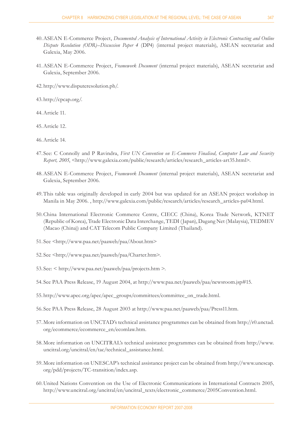- ASEAN E-Commerce Project, *Documented Analysis of International Activity in Electronic Contracting and Online*  40. *Dispute Resolution (ODR)–Discussion Paper 4* (DP4) (internal project materials), ASEAN secretariat and Galexia, May 2006.
- ASEAN E-Commerce Project, *Framework Document* (internal project materials), ASEAN secretariat and 41. Galexia, September 2006.
- http://www.disputeresolution.ph/. 42.
- 43. http://cpcap.org/.
- Article 11. 44.
- Article 12. 45.
- Article 14. 46.
- 47. See: C Connolly and P Ravindra, First UN Convention on E-Commerce Finalised, Computer Law and Security *Report, 2005*, <http://www.galexia.com/public/research/articles/research\_articles-art35.html>.
- ASEAN E-Commerce Project, *Framework Document* (internal project materials), ASEAN secretariat and 48. Galexia, September 2006.
- This table was originally developed in early 2004 but was updated for an ASEAN project workshop in 49. Manila in May 2006. , http://www.galexia.com/public/research/articles/research\_articles-pa04.html.
- 50. China International Electronic Commerce Centre, CIECC (China), Korea Trade Network, KTNET (Republic of Korea), Trade Electronic Data Interchange, TEDI (Japan), Dagang Net (Malaysia), TEDMEV (Macao (China)) and CAT Telecom Public Company Limited (Thailand).
- 51. See <http://www.paa.net/paaweb/paa/About.htm>
- See <http://www.paa.net/paaweb/paa/Charter.htm>. 52.
- See: < http://www.paa.net/paaweb/paa/projects.htm >. 53.
- See PAA Press Release, 19 August 2004, at http://www.paa.net/paaweb/paa/newsroom.jsp#15. 54.
- 55. http://www.apec.org/apec/apec\_groups/committees/committee\_on\_trade.html.
- See PAA Press Release, 28 August 2003 at http://www.paa.net/paaweb/paa/Press11.htm. 56.
- 57. More information on UNCTAD's technical assistance programmes can be obtained from http://r0.unctad. org/ecommerce/ecommerce\_en/ecomlaw.htm.
- 58. More information on UNCITRAL's technical assistance programmes can be obtained from http://www. uncitral.org/uncitral/en/tac/technical\_assistance.html.
- More information on UNESCAP's technical assistance project can be obtained from http://www.unescap. 59. org/pdd/projects/TC-transition/index.asp.
- 60. United Nations Convention on the Use of Electronic Communications in International Contracts 2005, http://www.uncitral.org/uncitral/en/uncitral\_texts/electronic\_commerce/2005Convention.html.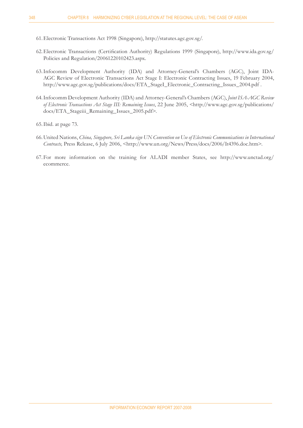- Electronic Transactions Act 1998 (Singapore), http://statutes.agc.gov.sg/. 61.
- 62. Electronic Transactions (Certification Authority) Regulations 1999 (Singapore), http://www.ida.gov.sg/ Policies and Regulation/20061220102423.aspx.
- 63. Infocomm Development Authority (IDA) and Attorney-General's Chambers (AGC), Joint IDA-AGC Review of Electronic Transactions Act Stage I: Electronic Contracting Issues, 19 February 2004, http://www.agc.gov.sg/publications/docs/ETA\_StageI\_Electronic\_Contracting\_Issues\_2004.pdf .
- Infocomm Development Authority (IDA) and Attorney-General's Chambers (AGC), *Joint ISA-AGC Review*  64. of Electronic Transactions Act Stage III: Remaining Issues, 22 June 2005, <http://www.agc.gov.sg/publications/ docs/ETA\_Stageiii\_Remaining\_Issues\_2005.pdf>.
- 65. Ibid. at page 73.
- 66. United Nations, *China, Singapore, Sri Lanka sign UN Convention on Use of Electronic Communications in International Contracts, Press Release, 6 July 2006, <http://www.un.org/News/Press/docs/2006/It4396.doc.htm>.*
- For more information on the training for ALADI member States, see http://www.unctad.org/ 67.ecommerce.